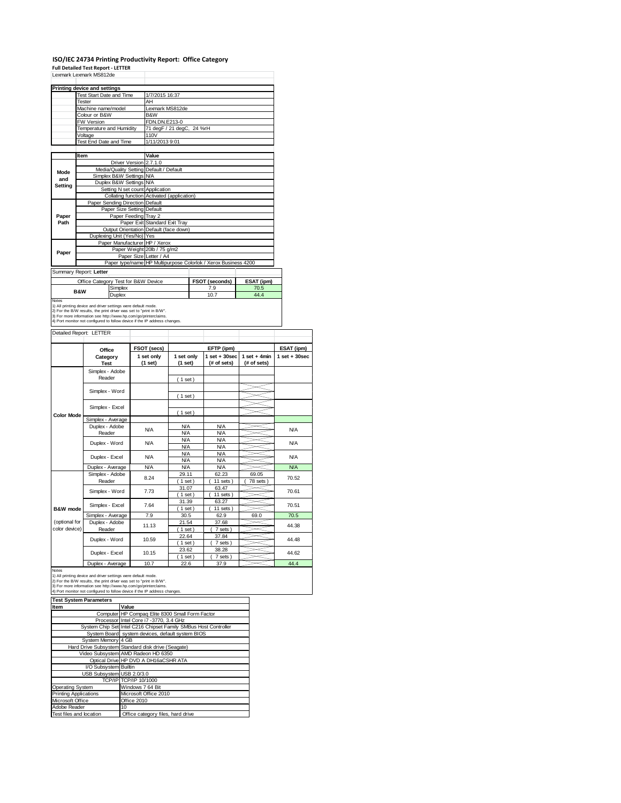## **ISO/IEC 24734 Printing Productivity Report: Office Category Full Detailed Test Report ‐ LETTER** Lexmark Lexmark MS812de

|              | Lexmark Lexmark MS812de                                                                                                                                                                                                                                                               |                                            |                                                                |            |
|--------------|---------------------------------------------------------------------------------------------------------------------------------------------------------------------------------------------------------------------------------------------------------------------------------------|--------------------------------------------|----------------------------------------------------------------|------------|
|              | Printing device and settings                                                                                                                                                                                                                                                          |                                            |                                                                |            |
|              | <b>Test Start Date and Time</b>                                                                                                                                                                                                                                                       | 1/7/2015 16:37                             |                                                                |            |
|              | Tester                                                                                                                                                                                                                                                                                | AH                                         |                                                                |            |
|              | Machine name/model                                                                                                                                                                                                                                                                    | Lexmark MS812de                            |                                                                |            |
|              | Colour or B&W                                                                                                                                                                                                                                                                         | B&W                                        |                                                                |            |
|              | <b>FW Version</b>                                                                                                                                                                                                                                                                     | FDN.DN.E213-0                              |                                                                |            |
|              | Temperature and Humidity                                                                                                                                                                                                                                                              | 71 degF / 21 degC, 24 %rH                  |                                                                |            |
|              | Voltage                                                                                                                                                                                                                                                                               | 110V                                       |                                                                |            |
|              | <b>Test End Date and Time</b>                                                                                                                                                                                                                                                         | 1/11/2013 9:01                             |                                                                |            |
|              |                                                                                                                                                                                                                                                                                       |                                            |                                                                |            |
|              | Item                                                                                                                                                                                                                                                                                  | Value                                      |                                                                |            |
|              | Driver Version 2.7.1.0                                                                                                                                                                                                                                                                |                                            |                                                                |            |
| Mode         | Media/Quality Setting Default / Default                                                                                                                                                                                                                                               |                                            |                                                                |            |
| and          | Simplex B&W Settings N/A                                                                                                                                                                                                                                                              |                                            |                                                                |            |
| Setting      | Duplex B&W Settings N/A                                                                                                                                                                                                                                                               |                                            |                                                                |            |
|              | Setting N set count Application                                                                                                                                                                                                                                                       |                                            |                                                                |            |
|              |                                                                                                                                                                                                                                                                                       | Collating function Activated (application) |                                                                |            |
|              | Paper Sending Direction Default                                                                                                                                                                                                                                                       |                                            |                                                                |            |
|              | Paper Size Setting Default                                                                                                                                                                                                                                                            |                                            |                                                                |            |
| Paper        | Paper Feeding Tray 2                                                                                                                                                                                                                                                                  |                                            |                                                                |            |
| Path         |                                                                                                                                                                                                                                                                                       | Paper Exit Standard Exit Tray              |                                                                |            |
|              |                                                                                                                                                                                                                                                                                       | Output Orientation Default (face down)     |                                                                |            |
|              | Duplexing Unit (Yes/No) Yes                                                                                                                                                                                                                                                           |                                            |                                                                |            |
|              | Paper Manufacturer HP / Xerox                                                                                                                                                                                                                                                         |                                            |                                                                |            |
| Paper        |                                                                                                                                                                                                                                                                                       | Paper Weight 20lb / 75 g/m2                |                                                                |            |
|              |                                                                                                                                                                                                                                                                                       | Paper Size Letter / A4                     |                                                                |            |
|              |                                                                                                                                                                                                                                                                                       |                                            | Paper type/name HP Multipurpose Colorlok / Xerox Business 4200 |            |
|              | Summary Report: Letter                                                                                                                                                                                                                                                                |                                            |                                                                |            |
|              | Office Category Test for B&W Device                                                                                                                                                                                                                                                   |                                            | FSOT (seconds)                                                 | ESAT (ipm) |
|              | Simplex<br><b>B&amp;W</b>                                                                                                                                                                                                                                                             |                                            | 7.9                                                            | 70.5       |
|              | Duplex                                                                                                                                                                                                                                                                                |                                            | 10.7                                                           | 44.4       |
| <b>Notes</b> | 1) All printing device and driver settings were default mode.<br>2) For the B/W results, the print driver was set to "print in B/W".<br>3) For more information see http://www.hp.com/go/printerclaims.<br>4) Port monitor not configured to follow device if the IP address changes. |                                            |                                                                |            |

|                                | Office                    | FSOT (secs)           |                          | ESAT (ipm)                       |                               |                   |
|--------------------------------|---------------------------|-----------------------|--------------------------|----------------------------------|-------------------------------|-------------------|
|                                | Category<br><b>Test</b>   | 1 set only<br>(1 set) | 1 set only<br>(1 set)    | $1$ set $+30$ sec<br>(# of sets) | $1$ set + 4min<br>(# of sets) | $1$ set $+30$ sec |
|                                | Simplex - Adobe<br>Reader |                       | (1 set)                  |                                  |                               |                   |
| <b>Color Mode</b>              | Simplex - Word            |                       | (1 set)                  |                                  |                               |                   |
|                                | Simplex - Excel           |                       | (1 set)                  |                                  |                               |                   |
|                                | Simplex - Average         |                       |                          |                                  |                               |                   |
|                                | Duplex - Adobe<br>Reader  | N/A                   | <b>N/A</b><br><b>N/A</b> | <b>N/A</b><br><b>N/A</b>         |                               | <b>N/A</b>        |
|                                | Duplex - Word             | N/A                   | <b>N/A</b><br><b>N/A</b> | <b>N/A</b><br><b>N/A</b>         |                               | N/A               |
|                                | Duplex - Excel            | N/A                   | <b>N/A</b><br><b>N/A</b> | <b>N/A</b><br><b>N/A</b>         |                               | <b>N/A</b>        |
|                                | Duplex - Average          | <b>N/A</b>            | <b>N/A</b>               | <b>N/A</b>                       |                               | <b>N/A</b>        |
|                                | Simplex - Adobe<br>Reader | 8.24                  | 29.11<br>$1$ set)        | 62.23<br>11 sets)                | 69.05<br>78 sets              | 70.52             |
|                                | Simplex - Word            | 7.73                  | 31.07<br>(1 set)         | 63.47<br>11 sets)                |                               | 70.61             |
| B&W mode                       | Simplex - Excel           | 7.64                  | 31.39<br>$1$ set)        | 63.27<br>$11$ sets)              |                               | 70.51             |
|                                | Simplex - Average         | 7.9                   | 30.5                     | 62.9                             | 69.0                          | 70.5              |
| (optional for<br>color device) | Duplex - Adobe<br>Reader  | 11.13                 | 21.54<br>$1$ set)        | 37.68<br>7 sets)                 |                               | 44.38             |
|                                | Duplex - Word             | 10.59                 | 22.64<br>(1 set)         | 37.84<br>7 sets)                 |                               | 44.48             |
|                                | Duplex - Excel            | 10.15                 | 23.62<br>$1$ set)        | 38.28<br>7 sets)                 |                               | 44.62             |
|                                | Duplex - Average          | 10.7                  | 22.6                     | 37.9                             |                               | 44.4              |

| <b>Test System Parameters</b> |                                                                 |
|-------------------------------|-----------------------------------------------------------------|
| Item                          | Value                                                           |
|                               | Computer HP Compaq Elite 8300 Small Form Factor                 |
|                               | Processor Intel Core i7 -3770, 3.4 GHz                          |
|                               | System Chip Set Intel C216 Chipset Family SMBus Host Controller |
|                               | System Board system devices, default system BIOS                |
| System Memory 4 GB            |                                                                 |
|                               | Hard Drive Subsystem Standard disk drive (Seagate)              |
|                               | Video Subsystem AMD Radeon HD 6350                              |
|                               | Optical Drive HP DVD A DH16aCSHR ATA                            |
| I/O Subsystem Builtin         |                                                                 |
| USB Subsystem USB 2.0/3.0     |                                                                 |
|                               | TCP/IP TCP/IP 10/1000                                           |
| Operating System              | Windows 7 64 Bit                                                |
| <b>Printing Applications</b>  | Microsoft Office 2010                                           |
| Microsoft Office              | Office 2010                                                     |
| Adobe Reader                  | 10                                                              |
| Test files and location       | Office category files, hard drive                               |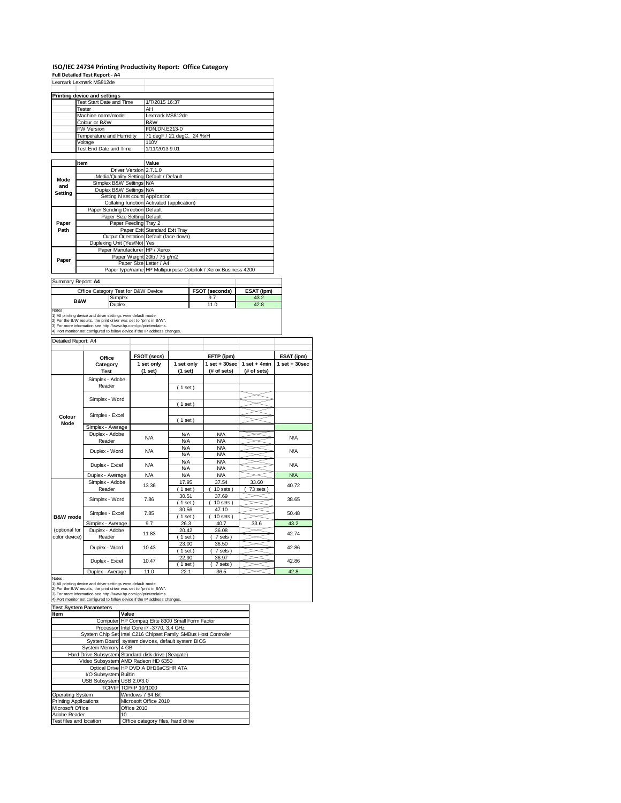#### **ISO/IEC 24734 Printing Productivity Report: Office Category**

|                     | Full Detailed Test Report - A4                                                                                                       |                                                                |                                         |  |                       |                    |                   |  |  |
|---------------------|--------------------------------------------------------------------------------------------------------------------------------------|----------------------------------------------------------------|-----------------------------------------|--|-----------------------|--------------------|-------------------|--|--|
|                     | Lexmark Lexmark MS812de                                                                                                              |                                                                |                                         |  |                       |                    |                   |  |  |
|                     |                                                                                                                                      |                                                                |                                         |  |                       |                    |                   |  |  |
|                     | <b>Printing device and settings</b>                                                                                                  | 1/7/2015 16:37                                                 |                                         |  |                       |                    |                   |  |  |
|                     | Test Start Date and Time<br>Tester                                                                                                   | AH                                                             |                                         |  |                       |                    |                   |  |  |
|                     | Machine name/model                                                                                                                   | Lexmark MS812de                                                |                                         |  |                       |                    |                   |  |  |
|                     | Colour or B&W                                                                                                                        | B&W                                                            |                                         |  |                       |                    |                   |  |  |
|                     | FW Version                                                                                                                           | FDN.DN.E213-0                                                  |                                         |  |                       |                    |                   |  |  |
|                     | Temperature and Humidity                                                                                                             |                                                                | 71 degF / 21 degC, 24 %rH               |  |                       |                    |                   |  |  |
|                     | Voltage                                                                                                                              | 110V                                                           |                                         |  |                       |                    |                   |  |  |
|                     | Test End Date and Time                                                                                                               | 1/11/2013 9:01                                                 |                                         |  |                       |                    |                   |  |  |
|                     |                                                                                                                                      |                                                                |                                         |  |                       |                    |                   |  |  |
|                     | Item                                                                                                                                 | Value                                                          |                                         |  |                       |                    |                   |  |  |
|                     |                                                                                                                                      | Driver Version 2.7.1.0                                         | Media/Quality Setting Default / Default |  |                       |                    |                   |  |  |
| Mode                | Simplex B&W Settings N/A                                                                                                             |                                                                |                                         |  |                       |                    |                   |  |  |
| and                 | Duplex B&W Settings N/A                                                                                                              |                                                                |                                         |  |                       |                    |                   |  |  |
| Setting             |                                                                                                                                      | Setting N set count Application                                |                                         |  |                       |                    |                   |  |  |
|                     |                                                                                                                                      | Collating function Activated (application)                     |                                         |  |                       |                    |                   |  |  |
|                     | Paper Sending Direction Default                                                                                                      |                                                                |                                         |  |                       |                    |                   |  |  |
|                     |                                                                                                                                      | Paper Size Setting Default                                     |                                         |  |                       |                    |                   |  |  |
| Paper               |                                                                                                                                      | Paper Feeding Tray 2                                           |                                         |  |                       |                    |                   |  |  |
| Path                |                                                                                                                                      | Paper Exit Standard Exit Tray                                  |                                         |  |                       |                    |                   |  |  |
|                     | Duplexing Unit (Yes/No) Yes                                                                                                          |                                                                | Output Orientation Default (face down)  |  |                       |                    |                   |  |  |
|                     |                                                                                                                                      | Paper Manufacturer HP / Xerox                                  |                                         |  |                       |                    |                   |  |  |
|                     |                                                                                                                                      | Paper Weight 20lb / 75 g/m2                                    |                                         |  |                       |                    |                   |  |  |
| Paper               |                                                                                                                                      | Paper Size Letter / A4                                         |                                         |  |                       |                    |                   |  |  |
|                     |                                                                                                                                      | Paper type/name HP Multipurpose Colorlok / Xerox Business 4200 |                                         |  |                       |                    |                   |  |  |
|                     | Summary Report: A4                                                                                                                   |                                                                |                                         |  |                       |                    |                   |  |  |
|                     |                                                                                                                                      |                                                                |                                         |  |                       |                    |                   |  |  |
|                     | Office Category Test for B&W Device<br>Simplex                                                                                       |                                                                |                                         |  | FSOT (seconds)<br>9.7 | ESAT (ipm)<br>43.2 |                   |  |  |
|                     | <b>B&amp;W</b><br>Duplex                                                                                                             |                                                                |                                         |  | 11.0                  | 42.8               |                   |  |  |
| Notes               |                                                                                                                                      |                                                                |                                         |  |                       |                    |                   |  |  |
|                     | 1) All printing device and driver settings were default mode.<br>2) For the B/W results, the print driver was set to "print in B/W". |                                                                |                                         |  |                       |                    |                   |  |  |
|                     | 3) For more information see http://www.hp.com/go/printerclaims.                                                                      |                                                                |                                         |  |                       |                    |                   |  |  |
|                     | 4) Port monitor not configured to follow device if the IP address changes.                                                           |                                                                |                                         |  |                       |                    |                   |  |  |
| Detailed Report: A4 |                                                                                                                                      |                                                                |                                         |  |                       |                    |                   |  |  |
|                     |                                                                                                                                      |                                                                |                                         |  |                       |                    |                   |  |  |
|                     | Office                                                                                                                               | FSOT (secs)                                                    |                                         |  | EFTP (ipm)            |                    | ESAT (ipm)        |  |  |
|                     | Category                                                                                                                             | 1 set only                                                     | 1 set only                              |  | $1$ set $+30$ sec     | 1 set $+$ 4min     | $1$ set $+30$ sec |  |  |
|                     | <b>Test</b>                                                                                                                          | (1 set)                                                        | (1 set)                                 |  | (# of sets)           | (# of sets)        |                   |  |  |
|                     | Simplex - Adobe                                                                                                                      |                                                                |                                         |  |                       |                    |                   |  |  |
|                     | Reader                                                                                                                               |                                                                | (1 set)                                 |  |                       |                    |                   |  |  |
|                     |                                                                                                                                      |                                                                |                                         |  |                       |                    |                   |  |  |
|                     | Simplex - Word                                                                                                                       |                                                                | (1 set)                                 |  |                       |                    |                   |  |  |
|                     |                                                                                                                                      |                                                                |                                         |  |                       |                    |                   |  |  |
| Colour              | Simplex - Excel                                                                                                                      |                                                                | (1 set)                                 |  |                       |                    |                   |  |  |
| Mode                | Simplex - Average                                                                                                                    |                                                                |                                         |  |                       |                    |                   |  |  |
|                     | Duplex - Adobe                                                                                                                       |                                                                | <b>N/A</b>                              |  | <b>N/A</b>            |                    |                   |  |  |
|                     | Reader                                                                                                                               | <b>N/A</b>                                                     | <b>N/A</b>                              |  | <b>N/A</b>            |                    | <b>N/A</b>        |  |  |
|                     |                                                                                                                                      | <b>N/A</b>                                                     | <b>N/A</b>                              |  | <b>N/A</b>            |                    | <b>N/A</b>        |  |  |
|                     | Duplex - Word                                                                                                                        |                                                                | <b>N/A</b>                              |  | <b>N/A</b>            |                    |                   |  |  |
|                     | Duplex - Excel                                                                                                                       | <b>N/A</b>                                                     | <b>N/A</b>                              |  | N/A                   |                    | <b>N/A</b>        |  |  |
|                     |                                                                                                                                      |                                                                | <b>N/A</b>                              |  | <b>N/A</b>            |                    |                   |  |  |
|                     | Duplex - Average                                                                                                                     | <b>N/A</b>                                                     | <b>N/A</b>                              |  | <b>N/A</b>            |                    | <b>N/A</b>        |  |  |
|                     | Simplex - Adobe                                                                                                                      |                                                                | 17.95                                   |  | 37.54                 | 33.60              |                   |  |  |

30.51 37.69<br>(1 set) (10 sets  $(10 \text{ sets})$ 

30.56 47.10<br>(1 set) (10 set) ( 10 sets )

17.95 37.54 33.60<br>(1 set) (10 sets) (73 sets  $(10 sets)$ 

> 42.86 42.86

40.72 38.65 50.48

⋚

| -------------- |                     |          | .             |               |      |        |
|----------------|---------------------|----------|---------------|---------------|------|--------|
|                | Simplex - Average   | 9.7      | 26.3          | 40.7          | 33.6 | 43.2   |
| (optional for  | Duplex - Adobe      | 11.83    | 20.42         | 36.08         |      | 42.74  |
| color device)  | Reader              |          | $1$ set)      | 7 sets)       |      |        |
|                | Duplex - Word       | 10.43    | 23.00         | 36.50         |      | 42.86  |
|                |                     |          | $1$ set $)$   | 7 sets)       |      |        |
|                | Duplex - Excel      | 10.47    | 22.90         | 36.97         |      | 42.86  |
|                |                     |          | $1$ set $)$   | 7 sets)       |      |        |
|                | Product Association | $\cdots$ | $\sim$ $\sim$ | $\sim$ $\sim$ |      | $\sim$ |

Simplex - Excel 7.85

Simplex - Adobe Reader Simplex - Word 7.86

**B&W mode**

Duplex - Average 11.0 22.1 36.5 42.8<br>
1) All printing device and driver settings were default mode.<br>
2) For the B/W results, the print driver was set to "print in B/W".<br>
3) For more information see http://www.hp.com/go/pr

**Item Value** Computer HP Compaq Elite 8300 Small Form Factor Processor Intel Core i7 -3770, 3.4 GHz<br>System Chip Set Intel C216 Chipset Family SMBus Host Controller System Board system devices, default system BIOS System Memory 4 GB Hard Drive Subsystem Standard disk drive (Seagate) Video Subsystem AMD Radeon HD 6350 Optical Drive HP DVD A DH16aCSHR ATA I/O Subsystem Builtin USB Subsystem USB 2.0/3.0 TCP/IP TCP/IP 10/1000 Operating System Windows 7 64 Bit Printing Applications Microsoft Office 2010 Microsoft Office **Office 2010** Adobe Reader 10 Test files and location Office category files, hard drive **Test System Parameters**

13.36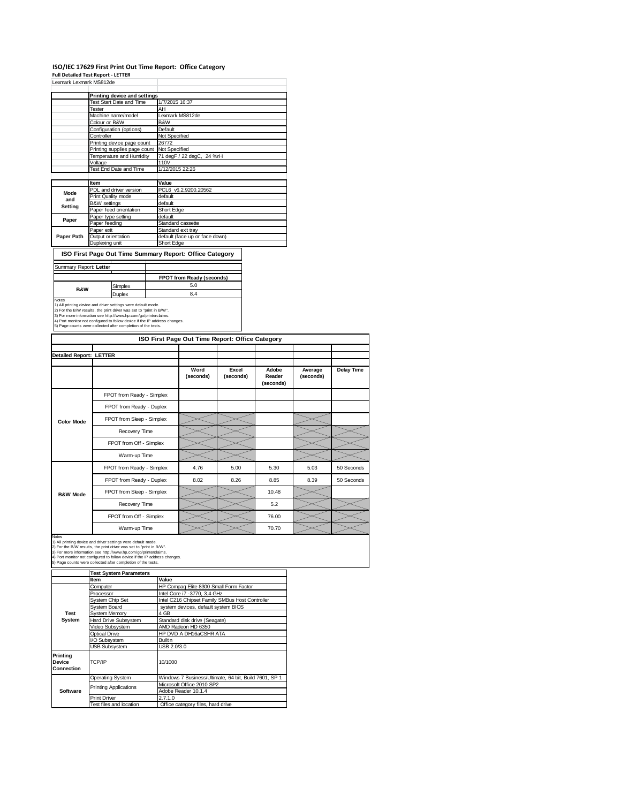# ISO/IEC 17629 First Print Out Time Report: Office Category<br>Full Detailed Test Report - LETTER<br>Lexmark Lexmark MS812de

| LEATIGIN LEATIGIN IVIJO IZUE |                              |                                |
|------------------------------|------------------------------|--------------------------------|
|                              |                              |                                |
|                              | Printing device and settings |                                |
|                              | Test Start Date and Time     | 1/7/2015 16:37                 |
|                              | Tester                       | AH                             |
|                              | Machine name/model           | Lexmark MS812de                |
|                              | Colour or B&W                | B&W                            |
|                              | Configuration (options)      | Default                        |
|                              | Controller                   | Not Specified                  |
|                              | Printing device page count   | 26772                          |
|                              | Printing supplies page count | Not Specified                  |
|                              | Temperature and Humidity     | 71 degF / 22 degC, 24 %rH      |
|                              | Voltage                      | 110V                           |
|                              | Test End Date and Time       | 1/12/2015 22:26                |
|                              |                              |                                |
|                              | Item                         | Value                          |
| Mode                         | PDL and driver version       | PCL6 v6.2.9200.20562           |
|                              | Print Quality mode           | default                        |
| and                          | <b>B&amp;W</b> settings      | default                        |
| Setting                      | Paper feed orientation       | Short Edge                     |
|                              | Paper type setting           | default                        |
| Paper                        | Paper feeding                | Standard cassette              |
|                              | Paper exit                   | Standard exit tray             |
| Paper Path                   | Output orientation           | default (face up or face down) |
|                              | Duplexing unit               | Short Edge                     |

### **ISO First Page Out Time Summary Report: Office Category**

| Summary Report: Letter |               |                                  |
|------------------------|---------------|----------------------------------|
|                        |               | <b>FPOT from Ready (seconds)</b> |
| <b>B&amp;W</b>         | Simplex       | 5.0                              |
|                        | <b>Duplex</b> | 8.4                              |

1) All printing device and driver settings were default mode.<br>2) For the B/W results, the print driver was set to "print in B/W".<br>3) For more information see http://www.hp.com/go/printerclaims.<br>4) Port monitor not configur

|                                |                           | ISO First Page Out Time Report: Office Category |                    |                              |                      |                   |
|--------------------------------|---------------------------|-------------------------------------------------|--------------------|------------------------------|----------------------|-------------------|
| <b>Detailed Report: LETTER</b> |                           |                                                 |                    |                              |                      |                   |
|                                |                           | Word<br>(seconds)                               | Excel<br>(seconds) | Adobe<br>Reader<br>(seconds) | Average<br>(seconds) | <b>Delay Time</b> |
|                                | FPOT from Ready - Simplex |                                                 |                    |                              |                      |                   |
| <b>Color Mode</b>              | FPOT from Ready - Duplex  |                                                 |                    |                              |                      |                   |
|                                | FPOT from Sleep - Simplex |                                                 |                    |                              |                      |                   |
|                                | Recovery Time             |                                                 |                    |                              |                      |                   |
|                                | FPOT from Off - Simplex   |                                                 |                    |                              |                      |                   |
|                                | Warm-up Time              |                                                 |                    |                              |                      |                   |
|                                | FPOT from Ready - Simplex | 4.76                                            | 5.00               | 5.30                         | 5.03                 | 50 Seconds        |
|                                | FPOT from Ready - Duplex  | 8.02                                            | 8.26               | 8.85                         | 8.39                 | 50 Seconds        |
| <b>B&amp;W Mode</b>            | FPOT from Sleep - Simplex |                                                 |                    | 10.48                        |                      |                   |
|                                | Recovery Time             |                                                 |                    | 5.2                          |                      |                   |
|                                | FPOT from Off - Simplex   |                                                 |                    | 76.00                        |                      |                   |
|                                | Warm-up Time              |                                                 |                    | 70.70                        |                      |                   |

Notes<br>1) All printing device and driver settings were default mode.<br>2) For the B/W results, the print driver was set to "print in B/W".<br>3) For more information see http://www.hp.com/go/printerclaims.<br>4) Port monitor not co

**Test System Parameters**

| rest System Parameters  |                                                       |  |  |  |  |
|-------------------------|-------------------------------------------------------|--|--|--|--|
| Item                    | Value                                                 |  |  |  |  |
| Computer                | HP Compaq Elite 8300 Small Form Factor                |  |  |  |  |
| Processor               | Intel Core i7 -3770, 3.4 GHz                          |  |  |  |  |
| System Chip Set         | Intel C216 Chipset Family SMBus Host Controller       |  |  |  |  |
| <b>System Board</b>     | system devices, default system BIOS                   |  |  |  |  |
| <b>System Memory</b>    | 4 GB                                                  |  |  |  |  |
| Hard Drive Subsystem    | Standard disk drive (Seagate)                         |  |  |  |  |
| Video Subsystem         | AMD Radeon HD 6350                                    |  |  |  |  |
| Optical Drive           | HP DVD A DH16aCSHR ATA                                |  |  |  |  |
| I/O Subsystem           | Builtin                                               |  |  |  |  |
| <b>USB Subsystem</b>    | USB 2.0/3.0                                           |  |  |  |  |
| TCP/IP                  | 10/1000                                               |  |  |  |  |
| <b>Operating System</b> | Windows 7 Business/Ultimate, 64 bit, Build 7601, SP 1 |  |  |  |  |
|                         | Microsoft Office 2010 SP2                             |  |  |  |  |
|                         | Adobe Reader 10.1.4                                   |  |  |  |  |
| <b>Print Driver</b>     | 2.7.1.0                                               |  |  |  |  |
| Test files and location | Office category files, hard drive                     |  |  |  |  |
|                         | <b>Printing Applications</b>                          |  |  |  |  |